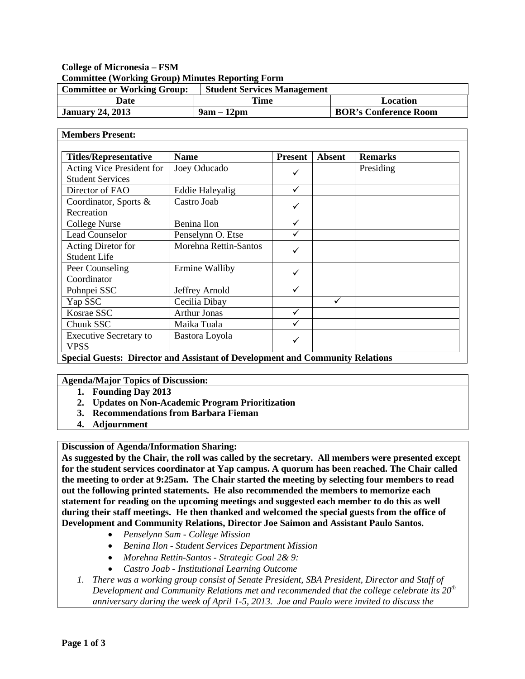# **College of Micronesia – FSM Committee (Working Group) Minutes Reporting Form**

| <b>Committee or Working Group:</b> | <b>Student Services Management</b> |                              |
|------------------------------------|------------------------------------|------------------------------|
| Date                               | Time                               | Location                     |
| <b>January 24, 2013</b>            | $9am - 12dm$                       | <b>BOR's Conference Room</b> |

### **Members Present:**

| <b>Titles/Representative</b>                         | <b>Name</b>            | <b>Present</b> | <b>Absent</b> | <b>Remarks</b> |
|------------------------------------------------------|------------------------|----------------|---------------|----------------|
| Acting Vice President for<br><b>Student Services</b> | Joey Oducado           | ✓              |               | Presiding      |
| Director of FAO                                      | <b>Eddie Haleyalig</b> | $\checkmark$   |               |                |
| Coordinator, Sports &<br>Recreation                  | Castro Joab            | ✓              |               |                |
| <b>College Nurse</b>                                 | Benina Ilon            | ✓              |               |                |
| <b>Lead Counselor</b>                                | Penselynn O. Etse      |                |               |                |
| Acting Diretor for<br><b>Student Life</b>            | Morehna Rettin-Santos  | ✓              |               |                |
| Peer Counseling<br>Coordinator                       | Ermine Walliby         | ✓              |               |                |
| Pohnpei SSC                                          | Jeffrey Arnold         | ✓              |               |                |
| Yap SSC                                              | Cecilia Dibay          |                | ✓             |                |
| Kosrae SSC                                           | <b>Arthur Jonas</b>    | ✓              |               |                |
| Chuuk SSC                                            | Maika Tuala            | ✓              |               |                |
| <b>Executive Secretary to</b><br><b>VPSS</b>         | Bastora Loyola         | ✓              |               |                |

**Agenda/Major Topics of Discussion:**

- **1. Founding Day 2013**
	- **2. Updates on Non-Academic Program Prioritization**
- **3. Recommendations from Barbara Fieman**
- **4. Adjournment**

**Discussion of Agenda/Information Sharing:**

**As suggested by the Chair, the roll was called by the secretary. All members were presented except for the student services coordinator at Yap campus. A quorum has been reached. The Chair called the meeting to order at 9:25am. The Chair started the meeting by selecting four members to read out the following printed statements. He also recommended the members to memorize each statement for reading on the upcoming meetings and suggested each member to do this as well during their staff meetings. He then thanked and welcomed the special guests from the office of Development and Community Relations, Director Joe Saimon and Assistant Paulo Santos.**

- *Penselynn Sam - College Mission*
- *Benina Ilon - Student Services Department Mission*
- *Morehna Rettin-Santos - Strategic Goal 2& 9:*
- *Castro Joab - Institutional Learning Outcome*
- *1. There was a working group consist of Senate President, SBA President, Director and Staff of Development and Community Relations met and recommended that the college celebrate its*  $20^{th}$ *anniversary during the week of April 1-5, 2013. Joe and Paulo were invited to discuss the*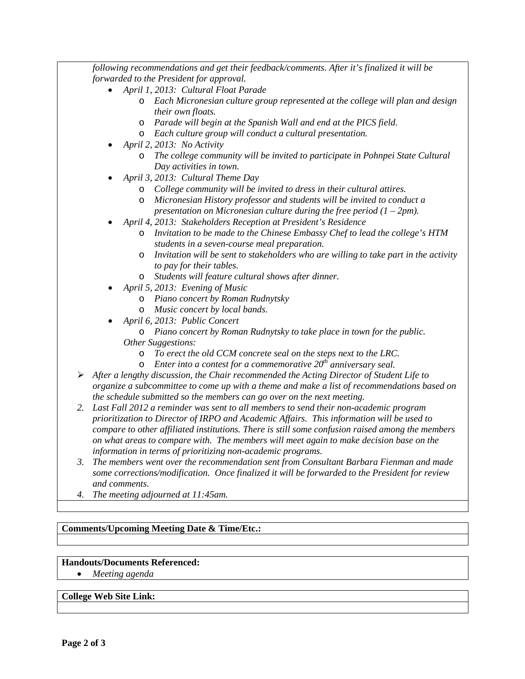*following recommendations and get their feedback/comments. After it's finalized it will be forwarded to the President for approval.*

- *April 1, 2013: Cultural Float Parade*
	- o *Each Micronesian culture group represented at the college will plan and design their own floats.*
	- o *Parade will begin at the Spanish Wall and end at the PICS field.*
	- o *Each culture group will conduct a cultural presentation.*
- *April 2, 2013: No Activity*
	- o *The college community will be invited to participate in Pohnpei State Cultural Day activities in town.*
- *April 3, 2013: Cultural Theme Day*
	- o *College community will be invited to dress in their cultural attires.*
	- o *Micronesian History professor and students will be invited to conduct a presentation on Micronesian culture during the free period (1 – 2pm).*
- *April 4, 2013: Stakeholders Reception at President's Residence*
	- o *Invitation to be made to the Chinese Embassy Chef to lead the college's HTM students in a seven-course meal preparation.*
	- o *Invitation will be sent to stakeholders who are willing to take part in the activity to pay for their tables.*
	- o *Students will feature cultural shows after dinner.*
- *April 5, 2013: Evening of Music*
	- o *Piano concert by Roman Rudnytsky*
	- o *Music concert by local bands.*
- *April 6, 2013: Public Concert*
	- o *Piano concert by Roman Rudnytsky to take place in town for the public. Other Suggestions:*
		- o *To erect the old CCM concrete seal on the steps next to the LRC.*
		- o *Enter into a contest for a commemorative 20th anniversary seal.*
- *After a lengthy discussion, the Chair recommended the Acting Director of Student Life to organize a subcommittee to come up with a theme and make a list of recommendations based on the schedule submitted so the members can go over on the next meeting.*
- *2. Last Fall 2012 a reminder was sent to all members to send their non-academic program prioritization to Director of IRPO and Academic Affairs. This information will be used to compare to other affiliated institutions. There is still some confusion raised among the members on what areas to compare with. The members will meet again to make decision base on the information in terms of prioritizing non-academic programs.*
- *3. The members went over the recommendation sent from Consultant Barbara Fienman and made some corrections/modification. Once finalized it will be forwarded to the President for review and comments.*
- *4. The meeting adjourned at 11:45am.*

## **Comments/Upcoming Meeting Date & Time/Etc.:**

### **Handouts/Documents Referenced:**

• *Meeting agenda*

### **College Web Site Link:**